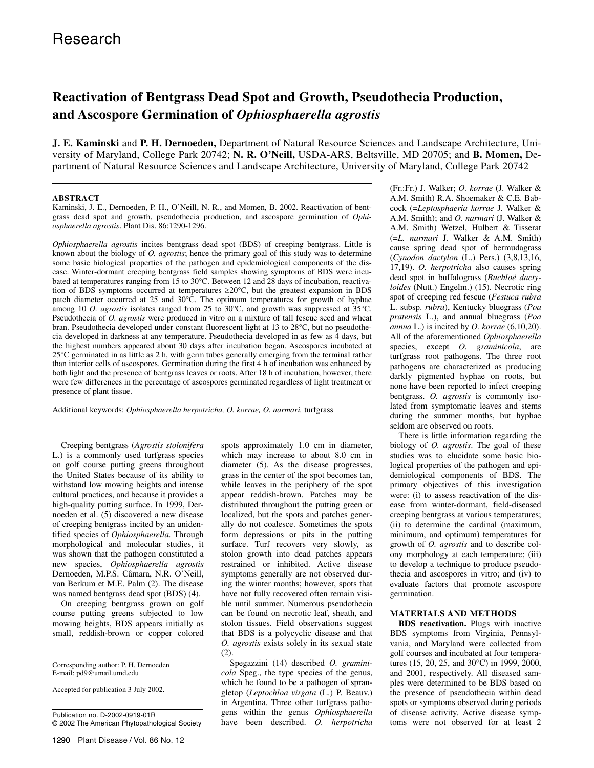# **Reactivation of Bentgrass Dead Spot and Growth, Pseudothecia Production, and Ascospore Germination of** *Ophiosphaerella agrostis*

**J. E. Kaminski** and **P. H. Dernoeden,** Department of Natural Resource Sciences and Landscape Architecture, University of Maryland, College Park 20742; **N. R. O'Neill,** USDA-ARS, Beltsville, MD 20705; and **B. Momen,** Department of Natural Resource Sciences and Landscape Architecture, University of Maryland, College Park 20742

## **ABSTRACT**

Kaminski, J. E., Dernoeden, P. H., O'Neill, N. R., and Momen, B. 2002. Reactivation of bentgrass dead spot and growth, pseudothecia production, and ascospore germination of *Ophiosphaerella agrostis*. Plant Dis. 86:1290-1296.

*Ophiosphaerella agrostis* incites bentgrass dead spot (BDS) of creeping bentgrass. Little is known about the biology of *O. agrostis*; hence the primary goal of this study was to determine some basic biological properties of the pathogen and epidemiological components of the disease. Winter-dormant creeping bentgrass field samples showing symptoms of BDS were incubated at temperatures ranging from 15 to 30°C. Between 12 and 28 days of incubation, reactivation of BDS symptoms occurred at temperatures  $\geq 20^{\circ}$ C, but the greatest expansion in BDS patch diameter occurred at 25 and 30°C. The optimum temperatures for growth of hyphae among 10 *O. agrostis* isolates ranged from 25 to 30°C, and growth was suppressed at 35°C. Pseudothecia of *O. agrostis* were produced in vitro on a mixture of tall fescue seed and wheat bran. Pseudothecia developed under constant fluorescent light at 13 to 28°C, but no pseudothecia developed in darkness at any temperature. Pseudothecia developed in as few as 4 days, but the highest numbers appeared about 30 days after incubation began. Ascospores incubated at 25°C germinated in as little as 2 h, with germ tubes generally emerging from the terminal rather than interior cells of ascospores. Germination during the first 4 h of incubation was enhanced by both light and the presence of bentgrass leaves or roots. After 18 h of incubation, however, there were few differences in the percentage of ascospores germinated regardless of light treatment or presence of plant tissue.

Additional keywords: *Ophiosphaerella herpotricha, O. korrae, O. narmari,* turfgrass

Creeping bentgrass (*Agrostis stolonifera* L.) is a commonly used turfgrass species on golf course putting greens throughout the United States because of its ability to withstand low mowing heights and intense cultural practices, and because it provides a high-quality putting surface. In 1999, Dernoeden et al. (5) discovered a new disease of creeping bentgrass incited by an unidentified species of *Ophiosphaerella.* Through morphological and molecular studies, it was shown that the pathogen constituted a new species, *Ophiosphaerella agrostis* Dernoeden, M.P.S. Câmara, N.R. O'Neill, van Berkum et M.E. Palm (2). The disease was named bentgrass dead spot (BDS) (4).

On creeping bentgrass grown on golf course putting greens subjected to low mowing heights, BDS appears initially as small, reddish-brown or copper colored

Corresponding author: P. H. Dernoeden E-mail: pd9@umail.umd.edu

Accepted for publication 3 July 2002.

Publication no. D-2002-0919-01R © 2002 The American Phytopathological Society

spots approximately 1.0 cm in diameter, which may increase to about 8.0 cm in diameter (5). As the disease progresses, grass in the center of the spot becomes tan, while leaves in the periphery of the spot appear reddish-brown. Patches may be distributed throughout the putting green or localized, but the spots and patches generally do not coalesce. Sometimes the spots form depressions or pits in the putting surface. Turf recovers very slowly, as stolon growth into dead patches appears restrained or inhibited. Active disease symptoms generally are not observed during the winter months; however, spots that have not fully recovered often remain visible until summer. Numerous pseudothecia can be found on necrotic leaf, sheath, and stolon tissues. Field observations suggest that BDS is a polycyclic disease and that *O. agrostis* exists solely in its sexual state (2).

Spegazzini (14) described *O. graminicola* Speg., the type species of the genus, which he found to be a pathogen of sprangletop (*Leptochloa virgata* (L.) P. Beauv.) in Argentina. Three other turfgrass pathogens within the genus *Ophiosphaerella* have been described. *O. herpotricha*

(Fr.:Fr.) J. Walker; *O. korrae* (J. Walker & A.M. Smith) R.A. Shoemaker & C.E. Babcock (=*Leptosphaeria korrae* J. Walker & A.M. Smith); and *O. narmari* (J. Walker & A.M. Smith) Wetzel, Hulbert & Tisserat (=*L. narmari* J. Walker & A.M. Smith) cause spring dead spot of bermudagrass (*Cynodon dactylon* (L.) Pers.) (3,8,13,16, 17,19). *O. herpotricha* also causes spring dead spot in buffalograss (*Buchloë dactyloides* (Nutt.) Engelm.) (15). Necrotic ring spot of creeping red fescue (*Festuca rubra* L. subsp. *rubra*), Kentucky bluegrass (*Poa pratensis* L.), and annual bluegrass (*Poa annua* L.) is incited by *O. korrae* (6,10,20). All of the aforementioned *Ophiosphaerella* species, except *O. graminicola*, are turfgrass root pathogens. The three root pathogens are characterized as producing darkly pigmented hyphae on roots, but none have been reported to infect creeping bentgrass. *O. agrostis* is commonly isolated from symptomatic leaves and stems during the summer months, but hyphae seldom are observed on roots.

There is little information regarding the biology of *O. agrostis*. The goal of these studies was to elucidate some basic biological properties of the pathogen and epidemiological components of BDS. The primary objectives of this investigation were: (i) to assess reactivation of the disease from winter-dormant, field-diseased creeping bentgrass at various temperatures; (ii) to determine the cardinal (maximum, minimum, and optimum) temperatures for growth of *O. agrostis* and to describe colony morphology at each temperature; (iii) to develop a technique to produce pseudothecia and ascospores in vitro; and (iv) to evaluate factors that promote ascospore germination.

## **MATERIALS AND METHODS**

**BDS reactivation.** Plugs with inactive BDS symptoms from Virginia, Pennsylvania, and Maryland were collected from golf courses and incubated at four temperatures (15, 20, 25, and 30°C) in 1999, 2000, and 2001, respectively. All diseased samples were determined to be BDS based on the presence of pseudothecia within dead spots or symptoms observed during periods of disease activity. Active disease symptoms were not observed for at least 2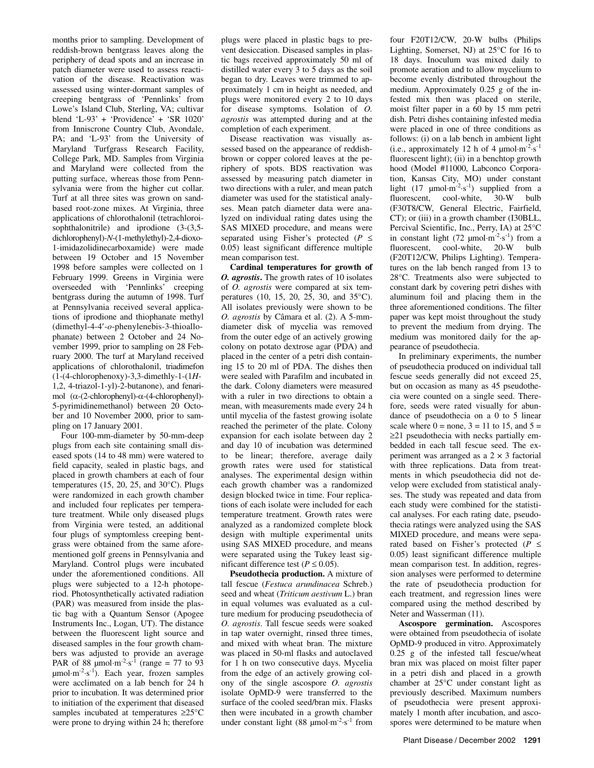months prior to sampling. Development of reddish-brown bentgrass leaves along the periphery of dead spots and an increase in patch diameter were used to assess reactivation of the disease. Reactivation was assessed using winter-dormant samples of creeping bentgrass of 'Pennlinks' from Lowe's Island Club, Sterling, VA; cultivar blend 'L-93' + 'Providence' + 'SR 1020' from Inniscrone Country Club, Avondale, PA; and 'L-93' from the University of Maryland Turfgrass Research Facility, College Park, MD. Samples from Virginia and Maryland were collected from the putting surface, whereas those from Pennsylvania were from the higher cut collar. Turf at all three sites was grown on sandbased root-zone mixes. At Virginia, three applications of chlorothalonil (tetrachloroisophthalonitrile) and iprodione (3-(3,5 dichlorophenyl)-*N*-(1-methylethyl)-2,4-dioxo-1-imidazolidinecarboxamide) were made between 19 October and 15 November 1998 before samples were collected on 1 February 1999. Greens in Virginia were overseeded with 'Pennlinks' creeping bentgrass during the autumn of 1998. Turf at Pennsylvania received several applications of iprodione and thiophanate methyl (dimethyl-4-4-*o*-phenylenebis-3-thioallophanate) between 2 October and 24 November 1999, prior to sampling on 28 February 2000. The turf at Maryland received applications of chlorothalonil, triadimefon (1-(4-chlorophenoxy)-3,3-dimethly-1-(1*H*-1,2, 4-triazol-1-yl)-2-butanone), and fenarimol  $(\alpha$ -(2-chlorophenyl)- $\alpha$ -(4-chlorophenyl)-5-pyrimidinemethanol) between 20 October and 10 November 2000, prior to sampling on 17 January 2001.

Four 100-mm-diameter by 50-mm-deep plugs from each site containing small diseased spots (14 to 48 mm) were watered to field capacity, sealed in plastic bags, and placed in growth chambers at each of four temperatures (15, 20, 25, and 30°C). Plugs were randomized in each growth chamber and included four replicates per temperature treatment. While only diseased plugs from Virginia were tested, an additional four plugs of symptomless creeping bentgrass were obtained from the same aforementioned golf greens in Pennsylvania and Maryland. Control plugs were incubated under the aforementioned conditions. All plugs were subjected to a 12-h photoperiod. Photosynthetically activated radiation (PAR) was measured from inside the plastic bag with a Quantum Sensor (Apogee Instruments Inc., Logan, UT). The distance between the fluorescent light source and diseased samples in the four growth chambers was adjusted to provide an average PAR of 88  $\mu$ mol·m<sup>-2</sup>·s<sup>-1</sup> (range = 77 to 93  $\mu$ mol·m<sup>-2</sup>·s<sup>-1</sup>). Each year, frozen samples were acclimated on a lab bench for 24 h prior to incubation. It was determined prior to initiation of the experiment that diseased samples incubated at temperatures  $\geq$ 25°C were prone to drying within 24 h; therefore

plugs were placed in plastic bags to prevent desiccation. Diseased samples in plastic bags received approximately 50 ml of distilled water every 3 to 5 days as the soil began to dry. Leaves were trimmed to approximately 1 cm in height as needed, and plugs were monitored every 2 to 10 days for disease symptoms. Isolation of *O. agrostis* was attempted during and at the completion of each experiment.

Disease reactivation was visually assessed based on the appearance of reddishbrown or copper colored leaves at the periphery of spots. BDS reactivation was assessed by measuring patch diameter in two directions with a ruler, and mean patch diameter was used for the statistical analyses. Mean patch diameter data were analyzed on individual rating dates using the SAS MIXED procedure, and means were separated using Fisher's protected ( $P \leq$ 0.05) least significant difference multiple mean comparison test.

**Cardinal temperatures for growth of**  *O. agrostis***.** The growth rates of 10 isolates of *O. agrostis* were compared at six temperatures (10, 15, 20, 25, 30, and 35°C). All isolates previously were shown to be *O. agrostis* by Câmara et al. (2). A 5-mmdiameter disk of mycelia was removed from the outer edge of an actively growing colony on potato dextrose agar (PDA) and placed in the center of a petri dish containing 15 to 20 ml of PDA. The dishes then were sealed with Parafilm and incubated in the dark. Colony diameters were measured with a ruler in two directions to obtain a mean, with measurements made every 24 h until mycelia of the fastest growing isolate reached the perimeter of the plate. Colony expansion for each isolate between day 2 and day 10 of incubation was determined to be linear; therefore, average daily growth rates were used for statistical analyses. The experimental design within each growth chamber was a randomized design blocked twice in time. Four replications of each isolate were included for each temperature treatment. Growth rates were analyzed as a randomized complete block design with multiple experimental units using SAS MIXED procedure, and means were separated using the Tukey least significant difference test ( $P \le 0.05$ ).

**Pseudothecia production.** A mixture of tall fescue (*Festuca arundinacea* Schreb.) seed and wheat (*Triticum aestivum* L.) bran in equal volumes was evaluated as a culture medium for producing pseudothecia of *O. agrostis*. Tall fescue seeds were soaked in tap water overnight, rinsed three times, and mixed with wheat bran. The mixture was placed in 50-ml flasks and autoclaved for 1 h on two consecutive days. Mycelia from the edge of an actively growing colony of the single ascospore *O. agrostis*  isolate OpMD-9 were transferred to the surface of the cooled seed/bran mix. Flasks then were incubated in a growth chamber under constant light (88  $\mu$ mol·m<sup>-2</sup>·s<sup>-1</sup> from

four F20T12/CW, 20-W bulbs (Philips Lighting, Somerset, NJ) at 25°C for 16 to 18 days. Inoculum was mixed daily to promote aeration and to allow mycelium to become evenly distributed throughout the medium. Approximately 0.25 g of the infested mix then was placed on sterile, moist filter paper in a 60 by 15 mm petri dish. Petri dishes containing infested media were placed in one of three conditions as follows: (i) on a lab bench in ambient light (i.e., approximately 12 h of 4  $\mu$ mol·m<sup>-2</sup>·s<sup>-1</sup> fluorescent light); (ii) in a benchtop growth hood (Model #11000, Labconco Corporation, Kansas City, MO) under constant light  $(17 \text{ \mu} \text{mol} \cdot \text{m}^{-2} \cdot \text{s}^{-1})$  supplied from a fluorescent, cool-white, 30-W bulb (F30T8/CW, General Electric, Fairfield, CT); or (iii) in a growth chamber (I30BLL, Percival Scientific, Inc., Perry, IA) at 25°C in constant light (72  $\mu$ mol·m<sup>-2</sup>·s<sup>-1</sup>) from a fluorescent, cool-white, 20-W bulb (F20T12/CW, Philips Lighting). Temperatures on the lab bench ranged from 13 to 28°C. Treatments also were subjected to constant dark by covering petri dishes with aluminum foil and placing them in the three aforementioned conditions. The filter paper was kept moist throughout the study to prevent the medium from drying. The medium was monitored daily for the appearance of pseudothecia.

In preliminary experiments, the number of pseudothecia produced on individual tall fescue seeds generally did not exceed 25, but on occasion as many as 45 pseudothecia were counted on a single seed. Therefore, seeds were rated visually for abundance of pseudothecia on a 0 to 5 linear scale where  $0 =$  none,  $3 = 11$  to 15, and  $5 =$  $\geq$ 21 pseudothecia with necks partially embedded in each tall fescue seed. The experiment was arranged as a  $2 \times 3$  factorial with three replications. Data from treatments in which pseudothecia did not develop were excluded from statistical analyses. The study was repeated and data from each study were combined for the statistical analyses. For each rating date, pseudothecia ratings were analyzed using the SAS MIXED procedure, and means were separated based on Fisher's protected ( $P \leq$ 0.05) least significant difference multiple mean comparison test. In addition, regression analyses were performed to determine the rate of pseudothecia production for each treatment, and regression lines were compared using the method described by Neter and Wasserman (11).

**Ascospore germination.** Ascospores were obtained from pseudothecia of isolate OpMD-9 produced in vitro. Approximately 0.25 g of the infested tall fescue/wheat bran mix was placed on moist filter paper in a petri dish and placed in a growth chamber at 25°C under constant light as previously described. Maximum numbers of pseudothecia were present approximately 1 month after incubation, and ascospores were determined to be mature when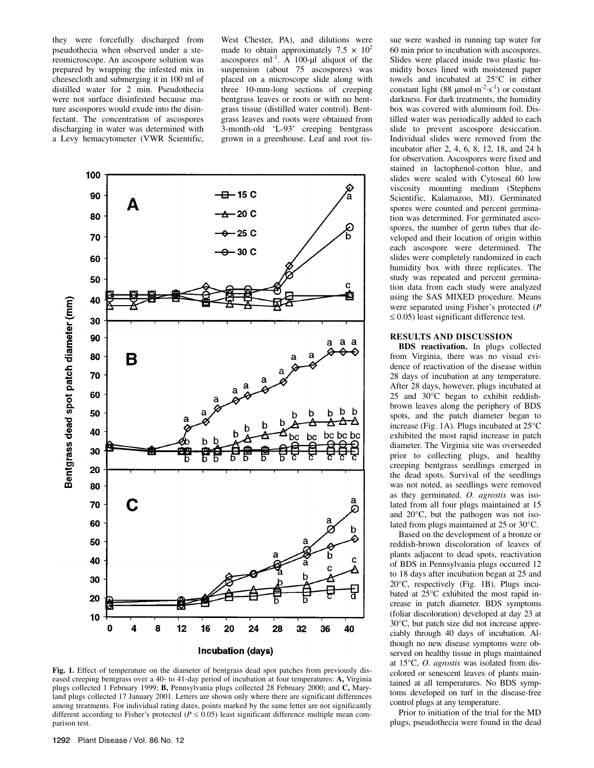they were forcefully discharged from pseudothecia when observed under a stereomicroscope. An ascospore solution was prepared by wrapping the infested mix in cheesecloth and submerging it in 100 ml of distilled water for 2 min. Pseudothecia were not surface disinfested because mature ascospores would exude into the disinfectant. The concentration of ascospores discharging in water was determined with a Levy hemacytometer (VWR Scientific, West Chester, PA), and dilutions were made to obtain approximately 7.5  $\times$  10<sup>2</sup> ascospores  $ml^{-1}$ . A 100-µl aliquot of the suspension (about 75 ascospores) was placed on a microscope slide along with three 10-mm-long sections of creeping bentgrass leaves or roots or with no bentgrass tissue (distilled water control). Bentgrass leaves and roots were obtained from 3-month-old 'L-93' creeping bentgrass grown in a greenhouse. Leaf and root tis-



Fig. 1. Effect of temperature on the diameter of bentgrass dead spot patches from previously diseased creeping bentgrass over a 40- to 41-day period of incubation at four temperatures: **A,** Virginia plugs collected 1 February 1999; **B,** Pennsylvania plugs collected 28 February 2000; and **C,** Maryland plugs collected 17 January 2001. Letters are shown only where there are significant differences among treatments. For individual rating dates, points marked by the same letter are not significantly different according to Fisher's protected ( $P \le 0.05$ ) least significant difference multiple mean comparison test.

sue were washed in running tap water for 60 min prior to incubation with ascospores. Slides were placed inside two plastic humidity boxes lined with moistened paper towels and incubated at 25°C in either constant light (88  $\mu$ mol·m<sup>-2</sup>·s<sup>-1</sup>) or constant darkness. For dark treatments, the humidity box was covered with aluminum foil. Distilled water was periodically added to each slide to prevent ascospore desiccation. Individual slides were removed from the incubator after 2, 4, 6, 8, 12, 18, and 24 h for observation. Ascospores were fixed and stained in lactophenol-cotton blue, and slides were sealed with Cytoseal 60 low viscosity mounting medium (Stephens Scientific, Kalamazoo, MI). Germinated spores were counted and percent germination was determined. For germinated ascospores, the number of germ tubes that developed and their location of origin within each ascospore were determined. The slides were completely randomized in each humidity box with three replicates. The study was repeated and percent germination data from each study were analyzed using the SAS MIXED procedure. Means were separated using Fisher's protected (*P*   $\leq$  0.05) least significant difference test.

# **RESULTS AND DISCUSSION**

**BDS reactivation.** In plugs collected from Virginia, there was no visual evidence of reactivation of the disease within 28 days of incubation at any temperature. After 28 days, however, plugs incubated at 25 and 30°C began to exhibit reddishbrown leaves along the periphery of BDS spots, and the patch diameter began to increase (Fig. 1A). Plugs incubated at 25°C exhibited the most rapid increase in patch diameter. The Virginia site was overseeded prior to collecting plugs, and healthy creeping bentgrass seedlings emerged in the dead spots. Survival of the seedlings was not noted, as seedlings were removed as they germinated. *O. agrostis* was isolated from all four plugs maintained at 15 and 20°C, but the pathogen was not isolated from plugs maintained at 25 or 30°C.

Based on the development of a bronze or reddish-brown discoloration of leaves of plants adjacent to dead spots, reactivation of BDS in Pennsylvania plugs occurred 12 to 18 days after incubation began at 25 and 20°C, respectively (Fig. 1B). Plugs incubated at 25°C exhibited the most rapid increase in patch diameter. BDS symptoms (foliar discoloration) developed at day 23 at 30°C, but patch size did not increase appreciably through 40 days of incubation. Although no new disease symptoms were observed on healthy tissue in plugs maintained at 15°C, *O. agrostis* was isolated from discolored or senescent leaves of plants maintained at all temperatures. No BDS symptoms developed on turf in the disease-free control plugs at any temperature.

Prior to initiation of the trial for the MD plugs, pseudothecia were found in the dead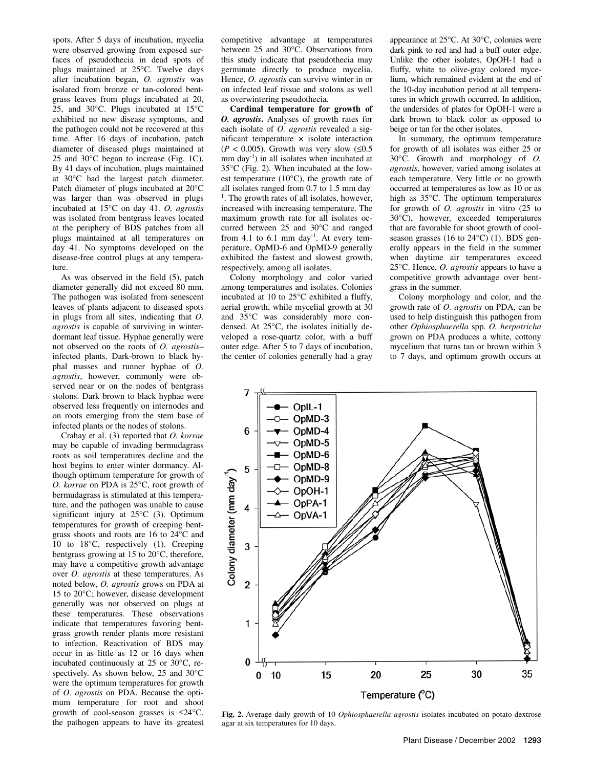spots. After 5 days of incubation, mycelia were observed growing from exposed surfaces of pseudothecia in dead spots of plugs maintained at 25°C. Twelve days after incubation began, *O. agrostis* was isolated from bronze or tan-colored bentgrass leaves from plugs incubated at 20, 25, and 30°C. Plugs incubated at 15°C exhibited no new disease symptoms, and the pathogen could not be recovered at this time. After 16 days of incubation, patch diameter of diseased plugs maintained at 25 and 30°C began to increase (Fig. 1C). By 41 days of incubation, plugs maintained at 30°C had the largest patch diameter. Patch diameter of plugs incubated at 20°C was larger than was observed in plugs incubated at 15°C on day 41. *O. agrostis* was isolated from bentgrass leaves located at the periphery of BDS patches from all plugs maintained at all temperatures on day 41. No symptoms developed on the disease-free control plugs at any temperature.

As was observed in the field (5), patch diameter generally did not exceed 80 mm. The pathogen was isolated from senescent leaves of plants adjacent to diseased spots in plugs from all sites, indicating that *O. agrostis* is capable of surviving in winterdormant leaf tissue. Hyphae generally were not observed on the roots of *O. agrostis*– infected plants. Dark-brown to black hyphal masses and runner hyphae of *O. agrostis*, however, commonly were observed near or on the nodes of bentgrass stolons. Dark brown to black hyphae were observed less frequently on internodes and on roots emerging from the stem base of infected plants or the nodes of stolons.

Crahay et al. (3) reported that *O. korrae* may be capable of invading bermudagrass roots as soil temperatures decline and the host begins to enter winter dormancy. Although optimum temperature for growth of *O. korrae* on PDA is 25°C, root growth of bermudagrass is stimulated at this temperature, and the pathogen was unable to cause significant injury at 25°C (3). Optimum temperatures for growth of creeping bentgrass shoots and roots are 16 to 24°C and 10 to 18°C, respectively (1). Creeping bentgrass growing at 15 to 20°C, therefore, may have a competitive growth advantage over *O. agrostis* at these temperatures. As noted below, *O. agrostis* grows on PDA at 15 to 20°C; however, disease development generally was not observed on plugs at these temperatures. These observations indicate that temperatures favoring bentgrass growth render plants more resistant to infection. Reactivation of BDS may occur in as little as 12 or 16 days when incubated continuously at 25 or 30°C, respectively. As shown below, 25 and 30°C were the optimum temperatures for growth of *O. agrostis* on PDA. Because the optimum temperature for root and shoot growth of cool-season grasses is  $\leq 24^{\circ}C$ , the pathogen appears to have its greatest

competitive advantage at temperatures between 25 and 30°C. Observations from this study indicate that pseudothecia may germinate directly to produce mycelia. Hence, *O. agrostis* can survive winter in or on infected leaf tissue and stolons as well as overwintering pseudothecia.

**Cardinal temperature for growth of**  *O. agrostis***.** Analyses of growth rates for each isolate of *O. agrostis* revealed a significant temperature  $\times$  isolate interaction  $(P < 0.005)$ . Growth was very slow  $(\leq 0.5)$ mm day<sup>-1</sup>) in all isolates when incubated at 35°C (Fig. 2). When incubated at the lowest temperature  $(10^{\circ}C)$ , the growth rate of all isolates ranged from 0.7 to 1.5 mm day-<sup>1</sup>. The growth rates of all isolates, however, increased with increasing temperature. The maximum growth rate for all isolates occurred between 25 and 30°C and ranged from 4.1 to 6.1 mm day<sup>-1</sup>. At every temperature, OpMD-6 and OpMD-9 generally exhibited the fastest and slowest growth, respectively, among all isolates.

Colony morphology and color varied among temperatures and isolates. Colonies incubated at 10 to 25°C exhibited a fluffy, aerial growth, while mycelial growth at 30 and 35°C was considerably more condensed. At 25°C, the isolates initially developed a rose-quartz color, with a buff outer edge. After 5 to 7 days of incubation, the center of colonies generally had a gray appearance at 25°C. At 30°C, colonies were dark pink to red and had a buff outer edge. Unlike the other isolates, OpOH-1 had a fluffy, white to olive-gray colored mycelium, which remained evident at the end of the 10-day incubation period at all temperatures in which growth occurred. In addition, the undersides of plates for OpOH-1 were a dark brown to black color as opposed to beige or tan for the other isolates.

In summary, the optimum temperature for growth of all isolates was either 25 or 30°C. Growth and morphology of *O. agrostis*, however, varied among isolates at each temperature. Very little or no growth occurred at temperatures as low as 10 or as high as 35°C. The optimum temperatures for growth of *O. agrostis* in vitro (25 to 30°C), however, exceeded temperatures that are favorable for shoot growth of coolseason grasses (16 to  $24^{\circ}$ C) (1). BDS generally appears in the field in the summer when daytime air temperatures exceed 25°C. Hence, *O. agrostis* appears to have a competitive growth advantage over bentgrass in the summer.

Colony morphology and color, and the growth rate of *O. agrostis* on PDA, can be used to help distinguish this pathogen from other *Ophiosphaerella* spp. *O. herpotricha* grown on PDA produces a white, cottony mycelium that turns tan or brown within 3 to 7 days, and optimum growth occurs at



**Fig. 2.** Average daily growth of 10 *Ophiosphaerella agrostis* isolates incubated on potato dextrose agar at six temperatures for 10 days.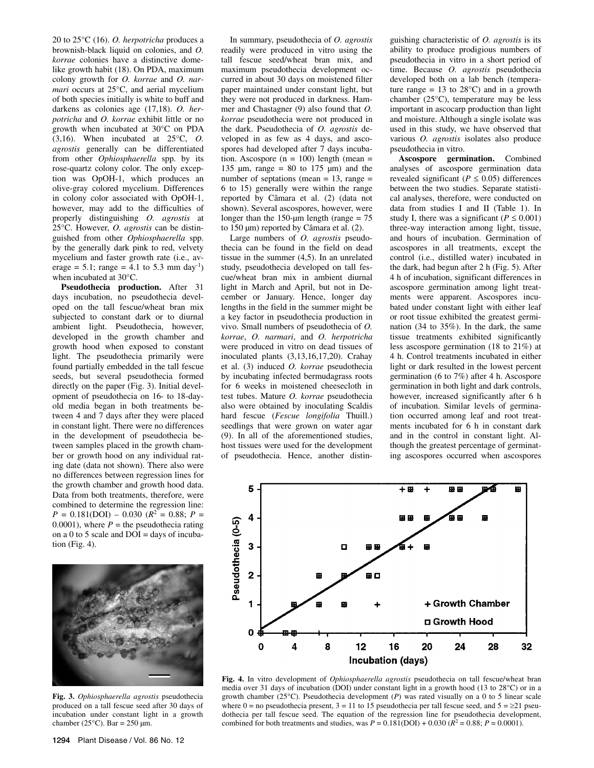20 to 25°C (16). *O. herpotricha* produces a brownish-black liquid on colonies, and *O. korrae* colonies have a distinctive domelike growth habit (18). On PDA, maximum colony growth for *O. korrae* and *O. narmari* occurs at 25°C, and aerial mycelium of both species initially is white to buff and darkens as colonies age (17,18). *O. herpotricha* and *O. korrae* exhibit little or no growth when incubated at 30°C on PDA (3,16). When incubated at 25°C, *O. agrostis* generally can be differentiated from other *Ophiosphaerella* spp. by its rose-quartz colony color. The only exception was OpOH-1, which produces an olive-gray colored mycelium. Differences in colony color associated with OpOH-1, however, may add to the difficulties of properly distinguishing *O. agrostis* at 25°C. However, *O. agrostis* can be distinguished from other *Ophiosphaerella* spp. by the generally dark pink to red, velvety mycelium and faster growth rate (i.e., average = 5.1; range = 4.1 to 5.3 mm day<sup>-1</sup>) when incubated at 30°C.

**Pseudothecia production.** After 31 days incubation, no pseudothecia developed on the tall fescue/wheat bran mix subjected to constant dark or to diurnal ambient light. Pseudothecia, however, developed in the growth chamber and growth hood when exposed to constant light. The pseudothecia primarily were found partially embedded in the tall fescue seeds, but several pseudothecia formed directly on the paper (Fig. 3). Initial development of pseudothecia on 16- to 18-dayold media began in both treatments between 4 and 7 days after they were placed in constant light. There were no differences in the development of pseudothecia between samples placed in the growth chamber or growth hood on any individual rating date (data not shown). There also were no differences between regression lines for the growth chamber and growth hood data. Data from both treatments, therefore, were combined to determine the regression line:  $P = 0.181(DOI) - 0.030$  ( $R^2 = 0.88$ ;  $P =$ 0.0001), where  $P =$  the pseudothecia rating on a 0 to 5 scale and  $DOI =$  days of incubation (Fig. 4).



**Fig. 3.** *Ophiosphaerella agrostis* pseudothecia produced on a tall fescue seed after 30 days of incubation under constant light in a growth chamber (25 $^{\circ}$ C). Bar = 250 µm.

1294 Plant Disease / Vol. 86 No. 12

In summary, pseudothecia of *O. agrostis* readily were produced in vitro using the tall fescue seed/wheat bran mix, and maximum pseudothecia development occurred in about 30 days on moistened filter paper maintained under constant light, but they were not produced in darkness. Hammer and Chastagner (9) also found that *O. korrae* pseudothecia were not produced in the dark. Pseudothecia of *O. agrostis* developed in as few as 4 days, and ascospores had developed after 7 days incubation. Ascospore  $(n = 100)$  length (mean = 135  $\mu$ m, range = 80 to 175  $\mu$ m) and the number of septations (mean  $= 13$ , range  $=$ 6 to 15) generally were within the range reported by Câmara et al. (2) (data not shown). Several ascospores, however, were longer than the 150-µm length (range  $= 75$ to 150 µm) reported by Câmara et al. (2).

Large numbers of *O. agrostis* pseudothecia can be found in the field on dead tissue in the summer (4,5). In an unrelated study, pseudothecia developed on tall fescue/wheat bran mix in ambient diurnal light in March and April, but not in December or January. Hence, longer day lengths in the field in the summer might be a key factor in pseudothecia production in vivo. Small numbers of pseudothecia of *O. korrae*, *O. narmari*, and *O. herpotricha* were produced in vitro on dead tissues of inoculated plants (3,13,16,17,20). Crahay et al. (3) induced *O. korrae* pseudothecia by incubating infected bermudagrass roots for 6 weeks in moistened cheesecloth in test tubes. Mature *O. korrae* pseudothecia also were obtained by inoculating Scaldis hard fescue (*Fescue longifolia* Thuill.) seedlings that were grown on water agar (9). In all of the aforementioned studies, host tissues were used for the development of pseudothecia. Hence, another distin-

guishing characteristic of *O. agrostis* is its ability to produce prodigious numbers of pseudothecia in vitro in a short period of time. Because *O. agrostis* pseudothecia developed both on a lab bench (temperature range =  $13$  to  $28^{\circ}$ C) and in a growth chamber (25°C), temperature may be less important in ascocarp production than light and moisture. Although a single isolate was used in this study, we have observed that various *O. agrostis* isolates also produce pseudothecia in vitro.

**Ascospore germination.** Combined analyses of ascospore germination data revealed significant ( $P \leq 0.05$ ) differences between the two studies. Separate statistical analyses, therefore, were conducted on data from studies I and II (Table 1). In study I, there was a significant ( $P \le 0.001$ ) three-way interaction among light, tissue, and hours of incubation. Germination of ascospores in all treatments, except the control (i.e., distilled water) incubated in the dark, had begun after 2 h (Fig. 5). After 4 h of incubation, significant differences in ascospore germination among light treatments were apparent. Ascospores incubated under constant light with either leaf or root tissue exhibited the greatest germination (34 to 35%). In the dark, the same tissue treatments exhibited significantly less ascospore germination (18 to 21%) at 4 h. Control treatments incubated in either light or dark resulted in the lowest percent germination (6 to 7%) after 4 h. Ascospore germination in both light and dark controls, however, increased significantly after 6 h of incubation. Similar levels of germination occurred among leaf and root treatments incubated for 6 h in constant dark and in the control in constant light. Although the greatest percentage of germinating ascospores occurred when ascospores



**Fig. 4.** In vitro development of *Ophiosphaerella agrostis* pseudothecia on tall fescue/wheat bran media over 31 days of incubation (DOI) under constant light in a growth hood (13 to 28°C) or in a growth chamber (25°C). Pseudothecia development (*P*) was rated visually on a 0 to 5 linear scale where  $0 =$  no pseudothecia present,  $3 = 11$  to 15 pseudothecia per tall fescue seed, and  $5 = \ge 21$  pseudothecia per tall fescue seed. The equation of the regression line for pseudothecia development, combined for both treatments and studies, was  $P = 0.181(DOI) + 0.030 (R^2 = 0.88; P = 0.0001)$ .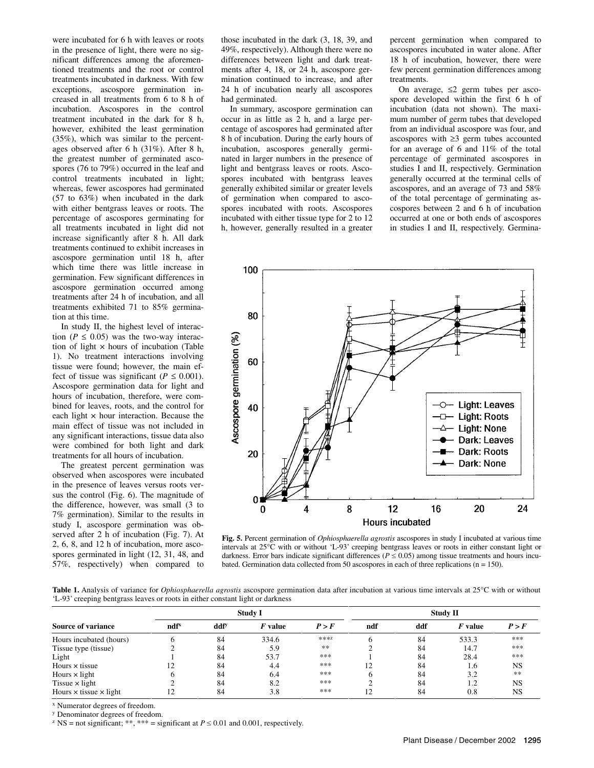were incubated for 6 h with leaves or roots in the presence of light, there were no significant differences among the aforementioned treatments and the root or control treatments incubated in darkness. With few exceptions, ascospore germination increased in all treatments from 6 to 8 h of incubation. Ascospores in the control treatment incubated in the dark for 8 h, however, exhibited the least germination (35%), which was similar to the percentages observed after 6 h (31%). After 8 h, the greatest number of germinated ascospores (76 to 79%) occurred in the leaf and control treatments incubated in light; whereas, fewer ascospores had germinated (57 to 63%) when incubated in the dark with either bentgrass leaves or roots. The percentage of ascospores germinating for all treatments incubated in light did not increase significantly after 8 h. All dark treatments continued to exhibit increases in ascospore germination until 18 h, after which time there was little increase in germination. Few significant differences in ascospore germination occurred among treatments after 24 h of incubation, and all treatments exhibited 71 to 85% germination at this time.

In study II, the highest level of interaction ( $P \leq 0.05$ ) was the two-way interaction of light  $\times$  hours of incubation (Table 1). No treatment interactions involving tissue were found; however, the main effect of tissue was significant ( $P \leq 0.001$ ). Ascospore germination data for light and hours of incubation, therefore, were combined for leaves, roots, and the control for each light  $\times$  hour interaction. Because the main effect of tissue was not included in any significant interactions, tissue data also were combined for both light and dark treatments for all hours of incubation.

The greatest percent germination was observed when ascospores were incubated in the presence of leaves versus roots versus the control (Fig. 6). The magnitude of the difference, however, was small (3 to 7% germination). Similar to the results in study I, ascospore germination was observed after 2 h of incubation (Fig. 7). At 2, 6, 8, and 12 h of incubation, more ascospores germinated in light (12, 31, 48, and 57%, respectively) when compared to

those incubated in the dark (3, 18, 39, and 49%, respectively). Although there were no differences between light and dark treatments after 4, 18, or 24 h, ascospore germination continued to increase, and after 24 h of incubation nearly all ascospores had germinated.

In summary, ascospore germination can occur in as little as 2 h, and a large percentage of ascospores had germinated after 8 h of incubation. During the early hours of incubation, ascospores generally germinated in larger numbers in the presence of light and bentgrass leaves or roots. Ascospores incubated with bentgrass leaves generally exhibited similar or greater levels of germination when compared to ascospores incubated with roots. Ascospores incubated with either tissue type for 2 to 12 h, however, generally resulted in a greater percent germination when compared to ascospores incubated in water alone. After 18 h of incubation, however, there were few percent germination differences among treatments.

On average,  $\leq 2$  germ tubes per ascospore developed within the first 6 h of incubation (data not shown). The maximum number of germ tubes that developed from an individual ascospore was four, and ascospores with  $\geq$ 3 germ tubes accounted for an average of 6 and 11% of the total percentage of germinated ascospores in studies I and II, respectively. Germination generally occurred at the terminal cells of ascospores, and an average of 73 and 58% of the total percentage of germinating ascospores between 2 and 6 h of incubation occurred at one or both ends of ascospores in studies I and II, respectively. Germina-



**Fig. 5.** Percent germination of *Ophiosphaerella agrostis* ascospores in study I incubated at various time intervals at 25°C with or without 'L-93' creeping bentgrass leaves or roots in either constant light or darkness. Error bars indicate significant differences ( $P \le 0.05$ ) among tissue treatments and hours incubated. Germination data collected from 50 ascospores in each of three replications ( $n = 150$ ).

Table 1. Analysis of variance for *Ophiosphaerella agrostis* ascospore germination data after incubation at various time intervals at 25°C with or without 'L-93' creeping bentgrass leaves or roots in either constant light or darkness

| <b>Source of variance</b>            | <b>Study I</b>               |                  |         |       | <b>Study II</b> |     |         |           |
|--------------------------------------|------------------------------|------------------|---------|-------|-----------------|-----|---------|-----------|
|                                      | $\mathbf{n}$ df <sup>x</sup> | ddf <sup>y</sup> | F value | P > F | ndf             | ddf | F value | P > F     |
| Hours incubated (hours)              | n                            | 84               | 334.6   | ***Z  |                 | 84  | 533.3   | ***       |
| Tissue type (tissue)                 |                              | 84               | 5.9     | **    |                 | 84  | 14.7    | ***       |
| Light                                |                              | 84               | 53.7    | ***   |                 | 84  | 28.4    | ***       |
| Hours $\times$ tissue                | 12                           | 84               | 4.4     | ***   | 12              | 84  | 1.6     | <b>NS</b> |
| Hours $\times$ light                 | h                            | 84               | 6.4     | ***   |                 | 84  | 3.2     | **        |
| Tissue $\times$ light                |                              | 84               | 8.2     | ***   |                 | 84  | 1.2     | <b>NS</b> |
| Hours $\times$ tissue $\times$ light | 12                           | 84               | 3.8     | ***   | 12              | 84  | 0.8     | NS        |

x Numerator degrees of freedom.

y Denominator degrees of freedom.

<sup>z</sup> NS = not significant; \*\*, \*\*\* = significant at  $P \le 0.01$  and 0.001, respectively.